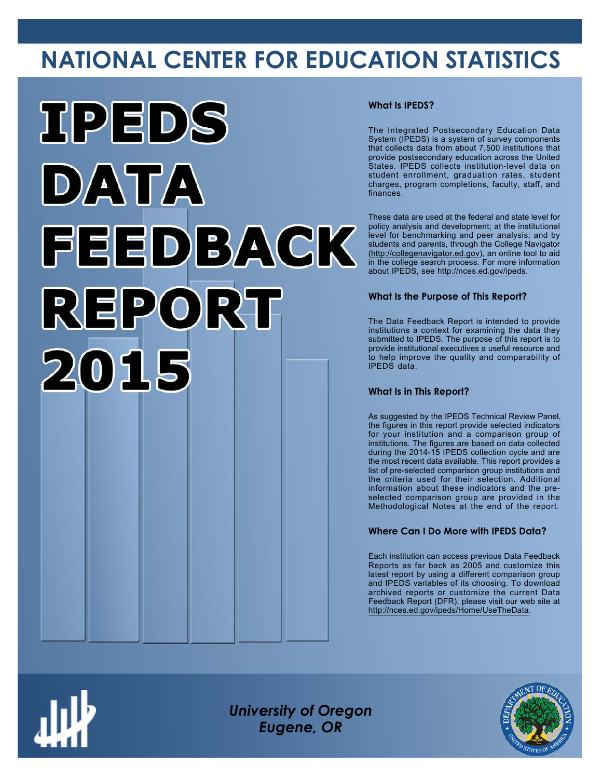# **NATIONAL CENTER FOR EDUCATION STATISTICS**



### **What Is IPEDS?**

The Integrated Postsecondary Education Data System (IPEDS) is a system of survey components that collects data from about 7,500 institutions that provide postsecondary education across the United States. IPEDS collects institution-level data on student enrollment, graduation rates, student charges, program completions, faculty, staff, and finances.

These data are used at the federal and state level for policy analysis and development; at the institutional level for benchmarking and peer analysis; and by students and parents, through the College Navigator ([http://collegenavigator.ed.gov\)](http://collegenavigator.ed.gov), an online tool to aid in the college search process. For more information about IPEDS, see [http://nces.ed.gov/ipeds.](http://nces.ed.gov/ipeds)

### **What Is the Purpose of This Report?**

The Data Feedback Report is intended to provide institutions a context for examining the data they submitted to IPEDS. The purpose of this report is to provide institutional executives a useful resource and to help improve the quality and comparability of IPEDS data.

### **What Is in This Report?**

As suggested by the IPEDS Technical Review Panel, the figures in this report provide selected indicators for your institution and a comparison group of institutions. The figures are based on data collected during the 2014-15 IPEDS collection cycle and are the most recent data available. This report provides a list of pre-selected comparison group institutions and the criteria used for their selection. Additional information about these indicators and the preselected comparison group are provided in the Methodological Notes at the end of the report.

### **Where Can I Do More with IPEDS Data?**

Each institution can access previous Data Feedback Reports as far back as 2005 and customize this latest report by using a different comparison group and IPEDS variables of its choosing. To download archived reports or customize the current Data Feedback Report (DFR), please visit our web site at [http://nces.ed.gov/ipeds/Home/UseTheData.](http://nces.ed.gov/ipeds/Home/UseTheData)



*University of Oregon Eugene, OR*

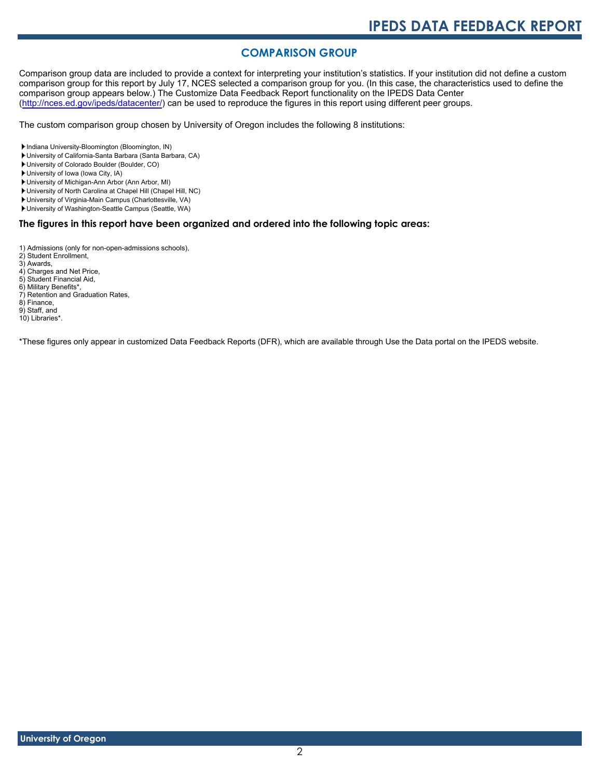# **COMPARISON GROUP**

Comparison group data are included to provide a context for interpreting your institution's statistics. If your institution did not define a custom comparison group for this report by July 17, NCES selected a comparison group for you. (In this case, the characteristics used to define the comparison group appears below.) The Customize Data Feedback Report functionality on the IPEDS Data Center [\(http://nces.ed.gov/ipeds/datacenter/\)](http://nces.ed.gov/ipeds/datacenter/) can be used to reproduce the figures in this report using different peer groups.

The custom comparison group chosen by University of Oregon includes the following 8 institutions:

Indiana University-Bloomington (Bloomington, IN)

- University of California-Santa Barbara (Santa Barbara, CA)
- University of Colorado Boulder (Boulder, CO)

University of Iowa (Iowa City, IA)

- University of Michigan-Ann Arbor (Ann Arbor, MI)
- University of North Carolina at Chapel Hill (Chapel Hill, NC)
- University of Virginia-Main Campus (Charlottesville, VA)

University of Washington-Seattle Campus (Seattle, WA)

### **The figures in this report have been organized and ordered into the following topic areas:**

1) Admissions (only for non-open-admissions schools),

2) Student Enrollment,

- 3) Awards, 4) Charges and Net Price,
- 5) Student Financial Aid, 6) Military Benefits\*,
- 7) Retention and Graduation Rates, 8) Finance,
- 

9) Staff, and 10) Libraries\*.

\*These figures only appear in customized Data Feedback Reports (DFR), which are available through Use the Data portal on the IPEDS website.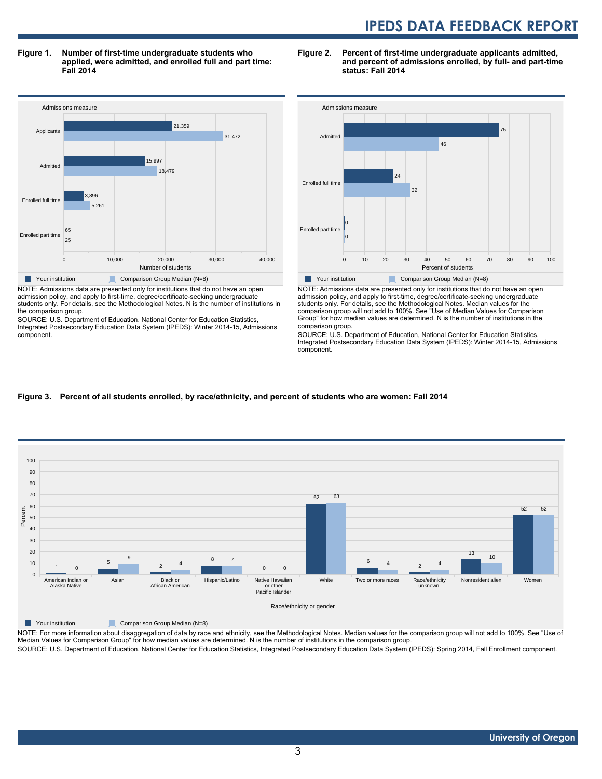**and percent of admissions enrolled, by full- and part-time**

**Figure 1. Number of first-time undergraduate students who applied, were admitted, and enrolled full and part time: Fall 2014**

Admissions measure 0 10,000 20,000 30,000 40,000 Number of students Enrolled part time Enrolled full time Admi Applicants 25 65 5,261 3,896 18,479 15,997 31,472 21,359 **Your institution** Comparison Group Median (N=8) NOTE: Admissions data are presented only for institutions that do not have an open

admission policy, and apply to first-time, degree/certificate-seeking undergraduate students only. For details, see the Methodological Notes. N is the number of institutions in the comparison group.

SOURCE: U.S. Department of Education, National Center for Education Statistics, Integrated Postsecondary Education Data System (IPEDS): Winter 2014-15, Admissions component.



**Figure 2. Percent of first-time undergraduate applicants admitted,**

**status: Fall 2014**

NOTE: Admissions data are presented only for institutions that do not have an open admission policy, and apply to first-time, degree/certificate-seeking undergraduate students only. For details, see the Methodological Notes. Median values for the comparison group will not add to 100%. See "Use of Median Values for Comparison Group" for how median values are determined. N is the number of institutions in the comparison group.

SOURCE: U.S. Department of Education, National Center for Education Statistics, Integrated Postsecondary Education Data System (IPEDS): Winter 2014-15, Admissions component.

#### **Figure 3. Percent of all students enrolled, by race/ethnicity, and percent of students who are women: Fall 2014**



NOTE: For more information about disaggregation of data by race and ethnicity, see the Methodological Notes. Median values for the comparison group will not add to 100%. See "Use of Median Values for Comparison Group" for how median values are determined. N is the number of institutions in the comparison group.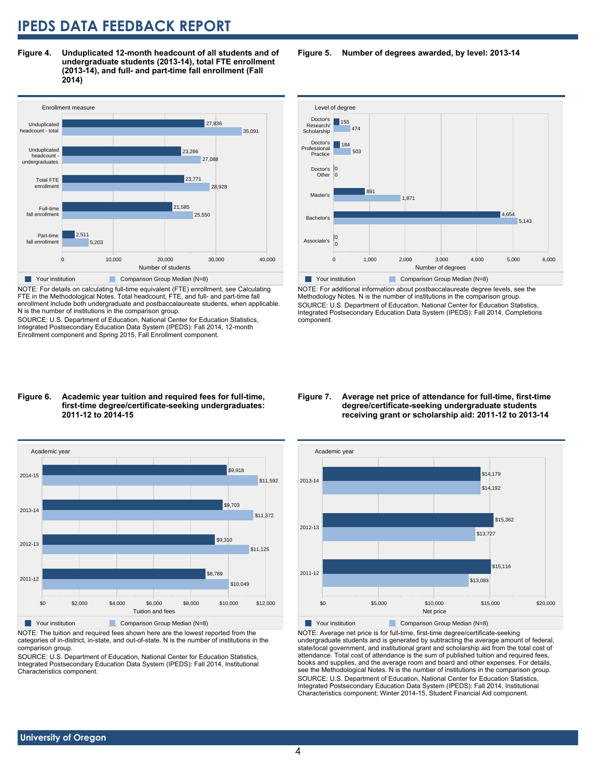**Figure 4. Unduplicated 12-month headcount of all students and of undergraduate students (2013-14), total FTE enrollment (2013-14), and full- and part-time fall enrollment (Fall 2014)**



NOTE: For details on calculating full-time equivalent (FTE) enrollment, see Calculating FTE in the Methodological Notes. Total headcount, FTE, and full- and part-time fall enrollment include both undergraduate and postbaccalaureate students, when applicable. N is the number of institutions in the comparison group.

SOURCE: U.S. Department of Education, National Center for Education Statistics, Integrated Postsecondary Education Data System (IPEDS): Fall 2014, 12-month Enrollment component and Spring 2015, Fall Enrollment component.

#### Level of degree Associate's Bach Master's Doctor's **Other** Doctor's Professional Practice Doctor's Research/ Scholarship 0 0 5,143 4,654 1,871 891  $\overline{0}$ 0 503  $184$ 474 155

Your institution Comparison Group Median (N=8) NOTE: For additional information about postbaccalaureate degree levels, see the Methodology Notes. N is the number of institutions in the comparison group. SOURCE: U.S. Department of Education, National Center for Education Statistics, Integrated Postsecondary Education Data System (IPEDS): Fall 2014, Completions component.

0 1,000 2,000 3,000 4,000 5,000 6,000 Number of degrees

#### **Figure 6. Academic year tuition and required fees for full-time, first-time degree/certificate-seeking undergraduates: 2011-12 to 2014-15**



NOTE: The tuition and required fees shown here are the lowest reported from the categories of in-district, in-state, and out-of-state. N is the number of institutions in the comparison group.

SOURCE: U.S. Department of Education, National Center for Education Statistics, Integrated Postsecondary Education Data System (IPEDS): Fall 2014, Institutional Characteristics component.

#### **Figure 7. Average net price of attendance for full-time, first-time degree/certificate-seeking undergraduate students receiving grant or scholarship aid: 2011-12 to 2013-14**



NOTE: Average net price is for full-time, first-time degree/certificate-seeking undergraduate students and is generated by subtracting the average amount of federal, state/local government, and institutional grant and scholarship aid from the total cost of attendance. Total cost of attendance is the sum of published tuition and required fees, books and supplies, and the average room and board and other expenses. For details, see the Methodological Notes. N is the number of institutions in the comparison group. SOURCE: U.S. Department of Education, National Center for Education Statistics, Integrated Postsecondary Education Data System (IPEDS): Fall 2014, Institutional Characteristics component; Winter 2014-15, Student Financial Aid component.

### **Figure 5. Number of degrees awarded, by level: 2013-14**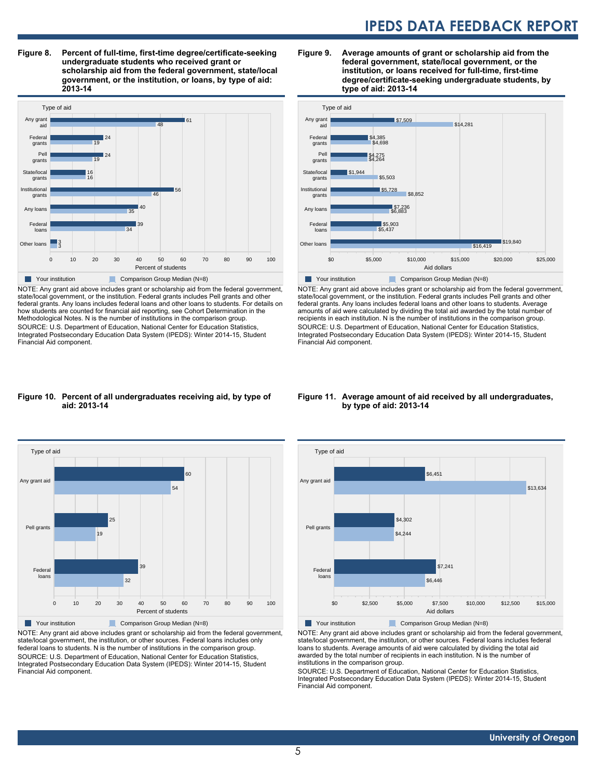**Figure 8. Percent of full-time, first-time degree/certificate-seeking undergraduate students who received grant or scholarship aid from the federal government, state/local government, or the institution, or loans, by type of aid: 2013-14**



NOTE: Any grant aid above includes grant or scholarship aid from the federal government, state/local government, or the institution. Federal grants includes Pell grants and other federal grants. Any loans includes federal loans and other loans to students. For details on how students are counted for financial aid reporting, see Cohort Determination in the Methodological Notes. N is the number of institutions in the comparison group. SOURCE: U.S. Department of Education, National Center for Education Statistics, Integrated Postsecondary Education Data System (IPEDS): Winter 2014-15, Student Financial Aid component.

#### **Figure 9. Average amounts of grant or scholarship aid from the federal government, state/local government, or the institution, or loans received for full-time, first-time degree/certificate-seeking undergraduate students, by type of aid: 2013-14**



NOTE: Any grant aid above includes grant or scholarship aid from the federal government, state/local government, or the institution. Federal grants includes Pell grants and other federal grants. Any loans includes federal loans and other loans to students. Average amounts of aid were calculated by dividing the total aid awarded by the total number of recipients in each institution. N is the number of institutions in the comparison group. SOURCE: U.S. Department of Education, National Center for Education Statistics, Integrated Postsecondary Education Data System (IPEDS): Winter 2014-15, Student Financial Aid component.

#### **Figure 10. Percent of all undergraduates receiving aid, by type of aid: 2013-14**



NOTE: Any grant aid above includes grant or scholarship aid from the federal government, state/local government, the institution, or other sources. Federal loans includes only federal loans to students. N is the number of institutions in the comparison group. SOURCE: U.S. Department of Education, National Center for Education Statistics, Integrated Postsecondary Education Data System (IPEDS): Winter 2014-15, Student Financial Aid component.

#### **Figure 11. Average amount of aid received by all undergraduates, by type of aid: 2013-14**



NOTE: Any grant aid above includes grant or scholarship aid from the federal government, state/local government, the institution, or other sources. Federal loans includes federal loans to students. Average amounts of aid were calculated by dividing the total aid awarded by the total number of recipients in each institution. N is the number of institutions in the comparison group.

SOURCE: U.S. Department of Education, National Center for Education Statistics, Integrated Postsecondary Education Data System (IPEDS): Winter 2014-15, Student Financial Aid component.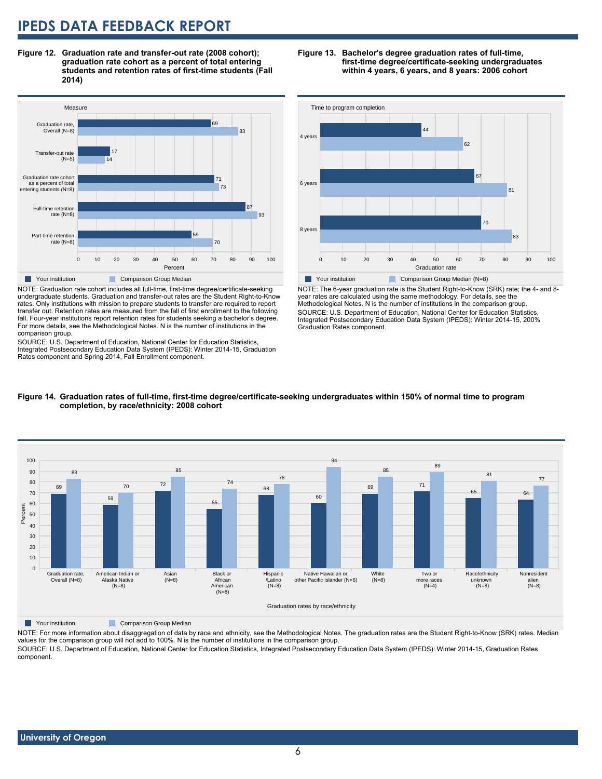**Figure 12. Graduation rate and transfer-out rate (2008 cohort); graduation rate cohort as a percent of total entering students and retention rates of first-time students (Fall 2014)**



NOTE: Graduation rate cohort includes all full-time, first-time degree/certificate-seeking undergraduate students. Graduation and transfer-out rates are the Student Right-to-Know rates. Only institutions with mission to prepare students to transfer are required to report transfer out. Retention rates are measured from the fall of first enrollment to the following fall. Four-year institutions report retention rates for students seeking a bachelor's degree. For more details, see the Methodological Notes. N is the number of institutions in the comparison group.

SOURCE: U.S. Department of Education, National Center for Education Statistics, Integrated Postsecondary Education Data System (IPEDS): Winter 2014-15, Graduation Rates component and Spring 2014, Fall Enrollment component.

#### **Figure 13. Bachelor's degree graduation rates of full-time, first-time degree/certificate-seeking undergraduates within 4 years, 6 years, and 8 years: 2006 cohort**



NOTE: The 6-year graduation rate is the Student Right-to-Know (SRK) rate; the 4- and 8 year rates are calculated using the same methodology. For details, see the Methodological Notes. N is the number of institutions in the comparison group. SOURCE: U.S. Department of Education, National Center for Education Statistics, Integrated Postsecondary Education Data System (IPEDS): Winter 2014-15, 200% Graduation Rates component.



**Figure 14. Graduation rates of full-time, first-time degree/certificate-seeking undergraduates within 150% of normal time to program completion, by race/ethnicity: 2008 cohort**

**Table 7 Your institution** Comparison Group Median

NOTE: For more information about disaggregation of data by race and ethnicity, see the Methodological Notes. The graduation rates are the Student Right-to-Know (SRK) rates. Median values for the comparison group will not add to 100%. N is the number of institutions in the comparison group.

SOURCE: U.S. Department of Education, National Center for Education Statistics, Integrated Postsecondary Education Data System (IPEDS): Winter 2014-15, Graduation Rates component.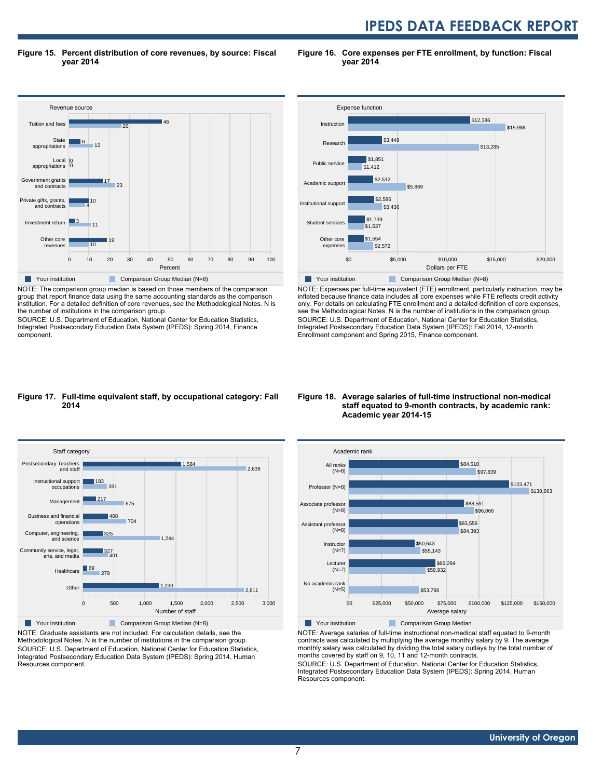**Figure 15. Percent distribution of core revenues, by source: Fiscal year 2014**

**Figure 16. Core expenses per FTE enrollment, by function: Fiscal year 2014**



NOTE: The comparison group median is based on those members of the comparison group that report finance data using the same accounting standards as the comparison institution. For a detailed definition of core revenues, see the Methodological Notes. N is the number of institutions in the comparison group.

SOURCE: U.S. Department of Education, National Center for Education Statistics, Integrated Postsecondary Education Data System (IPEDS): Spring 2014, Finance component.



NOTE: Expenses per full-time equivalent (FTE) enrollment, particularly instruction, may be inflated because finance data includes all core expenses while FTE reflects credit activity only. For details on calculating FTE enrollment and a detailed definition of core expenses, see the Methodological Notes. N is the number of institutions in the comparison group. SOURCE: U.S. Department of Education, National Center for Education Statistics, Integrated Postsecondary Education Data System (IPEDS): Fall 2014, 12-month Enrollment component and Spring 2015, Finance component.

#### **Figure 17. Full-time equivalent staff, by occupational category: Fall 2014**



NOTE: Graduate assistants are not included. For calculation details, see the Methodological Notes. N is the number of institutions in the comparison group. SOURCE: U.S. Department of Education, National Center for Education Statistics, Integrated Postsecondary Education Data System (IPEDS): Spring 2014, Human Resources component.

#### **Figure 18. Average salaries of full-time instructional non-medical staff equated to 9-month contracts, by academic rank: Academic year 2014-15**



NOTE: Average salaries of full-time instructional non-medical staff equated to 9-month contracts was calculated by multiplying the average monthly salary by 9. The average monthly salary was calculated by dividing the total salary outlays by the total number of months covered by staff on 9, 10, 11 and 12-month contracts.

SOURCE: U.S. Department of Education, National Center for Education Statistics, Integrated Postsecondary Education Data System (IPEDS): Spring 2014, Human Resources component.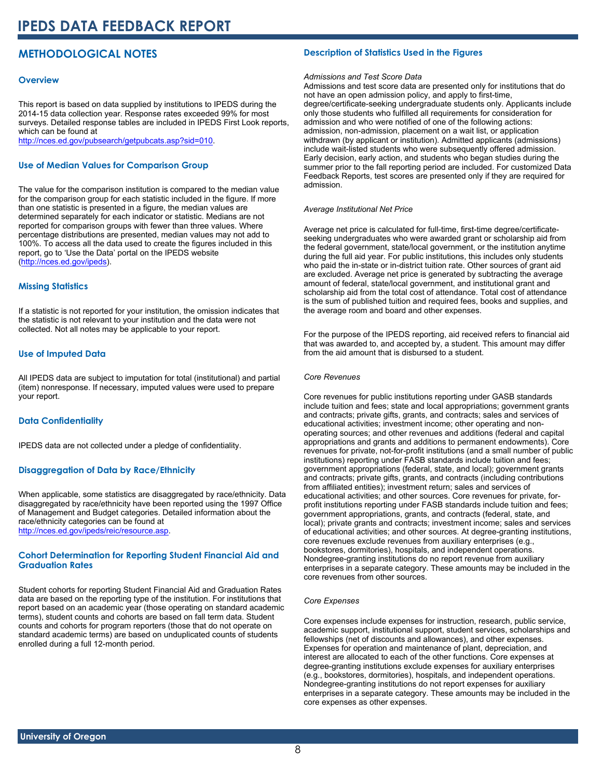# **METHODOLOGICAL NOTES**

#### **Overview**

This report is based on data supplied by institutions to IPEDS during the 2014-15 data collection year. Response rates exceeded 99% for most surveys. Detailed response tables are included in IPEDS First Look reports, which can be found at [http://nces.ed.gov/pubsearch/getpubcats.asp?sid=010.](http://nces.ed.gov/pubsearch/getpubcats.asp?sid=010)

#### **Use of Median Values for Comparison Group**

The value for the comparison institution is compared to the median value for the comparison group for each statistic included in the figure. If more than one statistic is presented in a figure, the median values are determined separately for each indicator or statistic. Medians are not reported for comparison groups with fewer than three values. Where percentage distributions are presented, median values may not add to 100%. To access all the data used to create the figures included in this report, go to 'Use the Data' portal on the IPEDS website ([http://nces.ed.gov/ipeds\)](http://nces.ed.gov/ipeds).

#### **Missing Statistics**

If a statistic is not reported for your institution, the omission indicates that the statistic is not relevant to your institution and the data were not collected. Not all notes may be applicable to your report.

#### **Use of Imputed Data**

All IPEDS data are subject to imputation for total (institutional) and partial (item) nonresponse. If necessary, imputed values were used to prepare your report.

#### **Data Confidentiality**

IPEDS data are not collected under a pledge of confidentiality.

#### **Disaggregation of Data by Race/Ethnicity**

When applicable, some statistics are disaggregated by race/ethnicity. Data disaggregated by race/ethnicity have been reported using the 1997 Office of Management and Budget categories. Detailed information about the race/ethnicity categories can be found at <http://nces.ed.gov/ipeds/reic/resource.asp>.

#### **Cohort Determination for Reporting Student Financial Aid and Graduation Rates**

Student cohorts for reporting Student Financial Aid and Graduation Rates data are based on the reporting type of the institution. For institutions that report based on an academic year (those operating on standard academic terms), student counts and cohorts are based on fall term data. Student counts and cohorts for program reporters (those that do not operate on standard academic terms) are based on unduplicated counts of students enrolled during a full 12-month period.

#### **Description of Statistics Used in the Figures**

#### *Admissions and Test Score Data*

Admissions and test score data are presented only for institutions that do not have an open admission policy, and apply to first-time, degree/certificate-seeking undergraduate students only. Applicants include only those students who fulfilled all requirements for consideration for admission and who were notified of one of the following actions: admission, non-admission, placement on a wait list, or application withdrawn (by applicant or institution). Admitted applicants (admissions) include wait-listed students who were subsequently offered admission. Early decision, early action, and students who began studies during the summer prior to the fall reporting period are included. For customized Data Feedback Reports, test scores are presented only if they are required for admission.

#### *Average Institutional Net Price*

Average net price is calculated for full-time, first-time degree/certificateseeking undergraduates who were awarded grant or scholarship aid from the federal government, state/local government, or the institution anytime during the full aid year. For public institutions, this includes only students who paid the in-state or in-district tuition rate. Other sources of grant aid are excluded. Average net price is generated by subtracting the average amount of federal, state/local government, and institutional grant and scholarship aid from the total cost of attendance. Total cost of attendance is the sum of published tuition and required fees, books and supplies, and the average room and board and other expenses.

For the purpose of the IPEDS reporting, aid received refers to financial aid that was awarded to, and accepted by, a student. This amount may differ from the aid amount that is disbursed to a student.

#### *Core Revenues*

Core revenues for public institutions reporting under GASB standards include tuition and fees; state and local appropriations; government grants and contracts; private gifts, grants, and contracts; sales and services of educational activities; investment income; other operating and nonoperating sources; and other revenues and additions (federal and capital appropriations and grants and additions to permanent endowments). Core revenues for private, not-for-profit institutions (and a small number of public institutions) reporting under FASB standards include tuition and fees; government appropriations (federal, state, and local); government grants and contracts; private gifts, grants, and contracts (including contributions from affiliated entities); investment return; sales and services of educational activities; and other sources. Core revenues for private, forprofit institutions reporting under FASB standards include tuition and fees; government appropriations, grants, and contracts (federal, state, and local); private grants and contracts; investment income; sales and services of educational activities; and other sources. At degree-granting institutions, core revenues exclude revenues from auxiliary enterprises (e.g., bookstores, dormitories), hospitals, and independent operations. Nondegree-granting institutions do no report revenue from auxiliary enterprises in a separate category. These amounts may be included in the core revenues from other sources.

#### *Core Expenses*

Core expenses include expenses for instruction, research, public service, academic support, institutional support, student services, scholarships and fellowships (net of discounts and allowances), and other expenses. Expenses for operation and maintenance of plant, depreciation, and interest are allocated to each of the other functions. Core expenses at degree-granting institutions exclude expenses for auxiliary enterprises (e.g., bookstores, dormitories), hospitals, and independent operations. Nondegree-granting institutions do not report expenses for auxiliary enterprises in a separate category. These amounts may be included in the core expenses as other expenses.